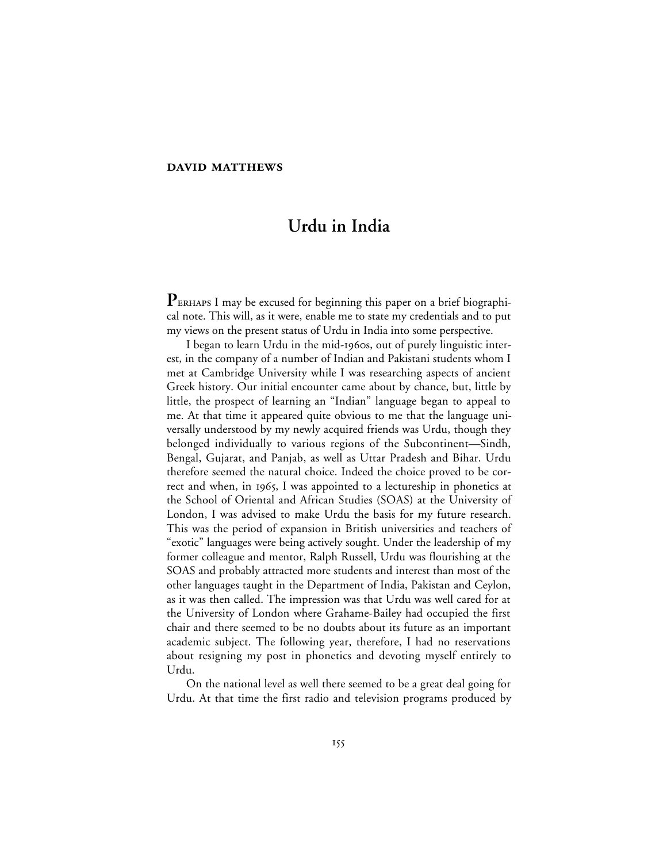#### **DAVID MATTHEWS**

# **Urdu in India**

PERHAPS I may be excused for beginning this paper on a brief biographical note. This will, as it were, enable me to state my credentials and to put my views on the present status of Urdu in India into some perspective.

I began to learn Urdu in the mid-1960s, out of purely linguistic interest, in the company of a number of Indian and Pakistani students whom I met at Cambridge University while I was researching aspects of ancient Greek history. Our initial encounter came about by chance, but, little by little, the prospect of learning an "Indian" language began to appeal to me. At that time it appeared quite obvious to me that the language universally understood by my newly acquired friends was Urdu, though they belonged individually to various regions of the Subcontinent—Sindh, Bengal, Gujarat, and Panjab, as well as Uttar Pradesh and Bihar. Urdu therefore seemed the natural choice. Indeed the choice proved to be correct and when, in 1965, I was appointed to a lectureship in phonetics at the School of Oriental and African Studies (SOAS) at the University of London, I was advised to make Urdu the basis for my future research. This was the period of expansion in British universities and teachers of "exotic" languages were being actively sought. Under the leadership of my former colleague and mentor, Ralph Russell, Urdu was flourishing at the SOAS and probably attracted more students and interest than most of the other languages taught in the Department of India, Pakistan and Ceylon, as it was then called. The impression was that Urdu was well cared for at the University of London where Grahame-Bailey had occupied the first chair and there seemed to be no doubts about its future as an important academic subject. The following year, therefore, I had no reservations about resigning my post in phonetics and devoting myself entirely to Urdu.

On the national level as well there seemed to be a great deal going for Urdu. At that time the first radio and television programs produced by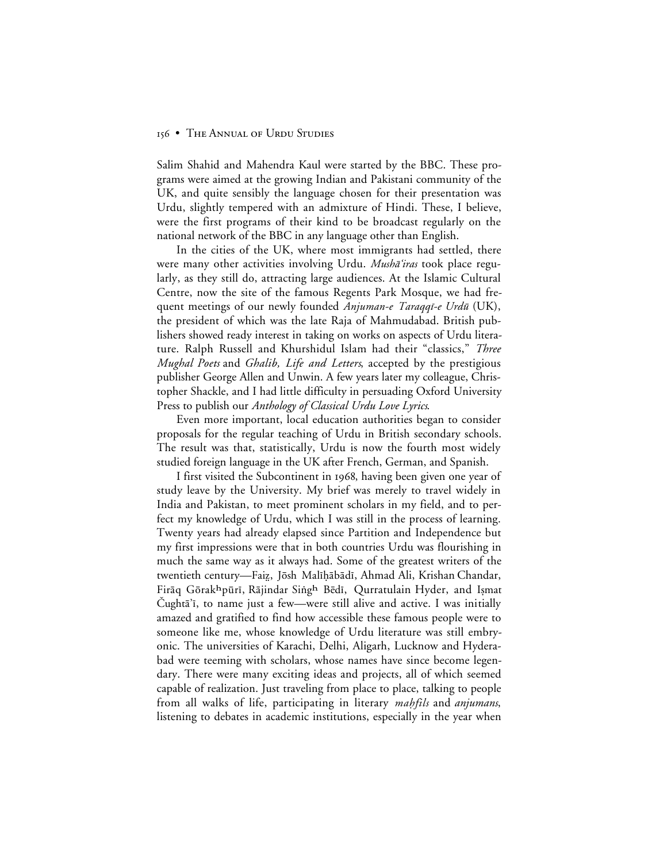Salim Shahid and Mahendra Kaul were started by the BBC. These programs were aimed at the growing Indian and Pakistani community of the UK, and quite sensibly the language chosen for their presentation was Urdu, slightly tempered with an admixture of Hindi. These, I believe, were the first programs of their kind to be broadcast regularly on the national network of the BBC in any language other than English.

In the cities of the UK, where most immigrants had settled, there were many other activities involving Urdu. Musha'iras took place regularly, as they still do, attracting large audiences. At the Islamic Cultural Centre, now the site of the famous Regents Park Mosque, we had frequent meetings of our newly founded Anjuman-e Taraqqi-e Urdū (UK), the president of which was the late Raja of Mahmudabad. British publishers showed ready interest in taking on works on aspects of Urdu literature. Ralph Russell and Khurshidul Islam had their "classics," *Three Mughal Poets* and *Ghalib, Life and Letters*, accepted by the prestigious publisher George Allen and Unwin. A few years later my colleague, Christopher Shackle, and I had little difficulty in persuading Oxford University Press to publish our *Anthology of Classical Urdu Love Lyrics*.

Even more important, local education authorities began to consider proposals for the regular teaching of Urdu in British secondary schools. The result was that, statistically, Urdu is now the fourth most widely studied foreign language in the UK after French, German, and Spanish.

I first visited the Subcontinent in 1968, having been given one year of study leave by the University. My brief was merely to travel widely in India and Pakistan, to meet prominent scholars in my field, and to perfect my knowledge of Urdu, which I was still in the process of learning. Twenty years had already elapsed since Partition and Independence but my first impressions were that in both countries Urdu was flourishing in much the same way as it always had. Some of the greatest writers of the twentieth century—Faiz, Jōsh Malīḥābādī, Ahmad Ali, Krishan Chandar, Firāq Gōrakhpūrī, Rājindar Singh Bēdī, Qurratulain Hyder, and Ișmat Cughta'i, to name just a few—were still alive and active. I was initially amazed and gratified to find how accessible these famous people were to someone like me, whose knowledge of Urdu literature was still embryonic. The universities of Karachi, Delhi, Aligarh, Lucknow and Hyderabad were teeming with scholars, whose names have since become legendary. There were many exciting ideas and projects, all of which seemed capable of realization. Just traveling from place to place, talking to people from all walks of life, participating in literary *mahfils* and *anjumans*, listening to debates in academic institutions, especially in the year when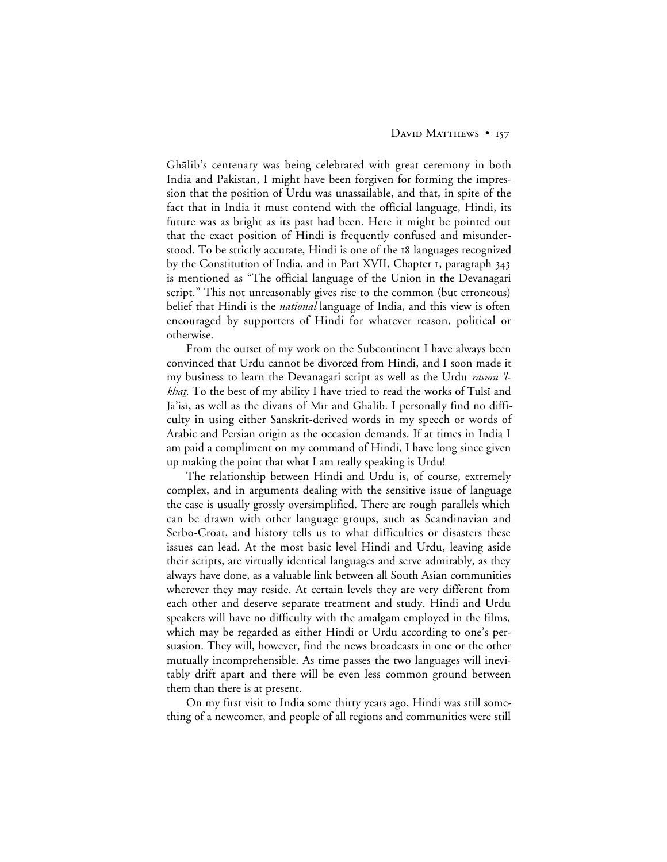# DAVID MATTHEWS • 157

Ghālib's centenary was being celebrated with great ceremony in both India and Pakistan, I might have been forgiven for forming the impression that the position of Urdu was unassailable, and that, in spite of the fact that in India it must contend with the official language, Hindi, its future was as bright as its past had been. Here it might be pointed out that the exact position of Hindi is frequently confused and misunderstood. To be strictly accurate, Hindi is one of the 18 languages recognized by the Constitution of India, and in Part XVII, Chapter 1, paragraph 343 is mentioned as "The official language of the Union in the Devanagari script." This not unreasonably gives rise to the common (but erroneous) belief that Hindi is the *national* language of India, and this view is often encouraged by supporters of Hindi for whatever reason, political or otherwise.

From the outset of my work on the Subcontinent I have always been convinced that Urdu cannot be divorced from Hindi, and I soon made it my business to learn the Devanagari script as well as the Urdu rasmu 'l*khat.* To the best of my ability I have tried to read the works of Tulsi and Jā'isī, as well as the divans of Mīr and Ghālib. I personally find no difficulty in using either Sanskrit-derived words in my speech or words of Arabic and Persian origin as the occasion demands. If at times in India I am paid a compliment on my command of Hindi, I have long since given up making the point that what I am really speaking is Urdu!

The relationship between Hindi and Urdu is, of course, extremely complex, and in arguments dealing with the sensitive issue of language the case is usually grossly oversimplified. There are rough parallels which can be drawn with other language groups, such as Scandinavian and Serbo-Croat, and history tells us to what difficulties or disasters these issues can lead. At the most basic level Hindi and Urdu, leaving aside their scripts, are virtually identical languages and serve admirably, as they always have done, as a valuable link between all South Asian communities wherever they may reside. At certain levels they are very different from each other and deserve separate treatment and study. Hindi and Urdu speakers will have no difficulty with the amalgam employed in the films, which may be regarded as either Hindi or Urdu according to one's persuasion. They will, however, find the news broadcasts in one or the other mutually incomprehensible. As time passes the two languages will inevitably drift apart and there will be even less common ground between them than there is at present.

On my first visit to India some thirty years ago, Hindi was still something of a newcomer, and people of all regions and communities were still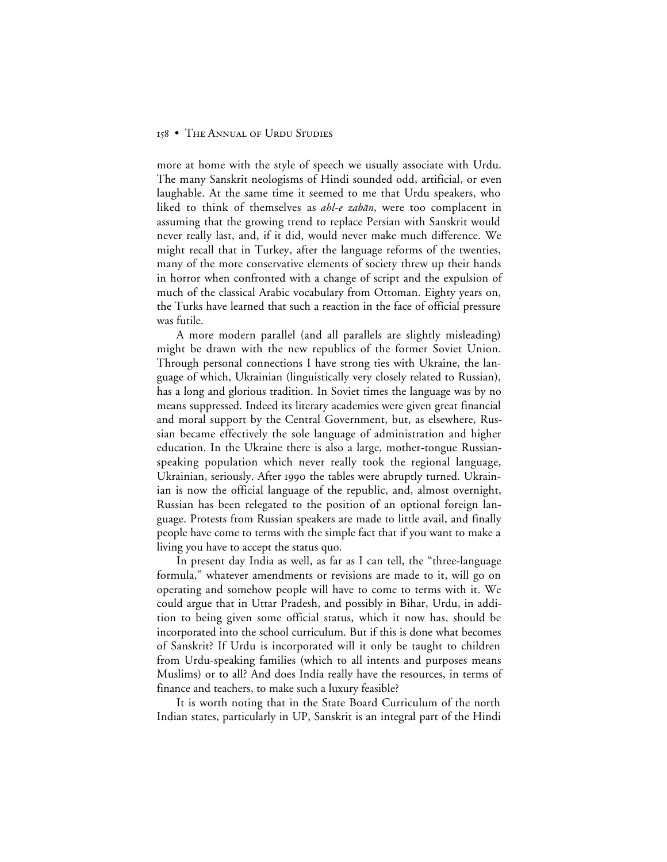more at home with the style of speech we usually associate with Urdu. The many Sanskrit neologisms of Hindi sounded odd, artificial, or even laughable. At the same time it seemed to me that Urdu speakers, who liked to think of themselves as *ahl-e zabān*, were too complacent in assuming that the growing trend to replace Persian with Sanskrit would never really last, and, if it did, would never make much difference. We might recall that in Turkey, after the language reforms of the twenties, many of the more conservative elements of society threw up their hands in horror when confronted with a change of script and the expulsion of much of the classical Arabic vocabulary from Ottoman. Eighty years on, the Turks have learned that such a reaction in the face of official pressure was futile.

A more modern parallel (and all parallels are slightly misleading) might be drawn with the new republics of the former Soviet Union. Through personal connections I have strong ties with Ukraine, the language of which, Ukrainian (linguistically very closely related to Russian), has a long and glorious tradition. In Soviet times the language was by no means suppressed. Indeed its literary academies were given great financial and moral support by the Central Government, but, as elsewhere, Russian became effectively the sole language of administration and higher education. In the Ukraine there is also a large, mother-tongue Russianspeaking population which never really took the regional language, Ukrainian, seriously. After 1990 the tables were abruptly turned. Ukrainian is now the official language of the republic, and, almost overnight, Russian has been relegated to the position of an optional foreign language. Protests from Russian speakers are made to little avail, and finally people have come to terms with the simple fact that if you want to make a living you have to accept the status quo.

In present day India as well, as far as I can tell, the "three-language formula," whatever amendments or revisions are made to it, will go on operating and somehow people will have to come to terms with it. We could argue that in Uttar Pradesh, and possibly in Bihar, Urdu, in addition to being given some official status, which it now has, should be incorporated into the school curriculum. But if this is done what becomes of Sanskrit? If Urdu is incorporated will it only be taught to children from Urdu-speaking families (which to all intents and purposes means Muslims) or to all? And does India really have the resources, in terms of finance and teachers, to make such a luxury feasible?

It is worth noting that in the State Board Curriculum of the north Indian states, particularly in UP, Sanskrit is an integral part of the Hindi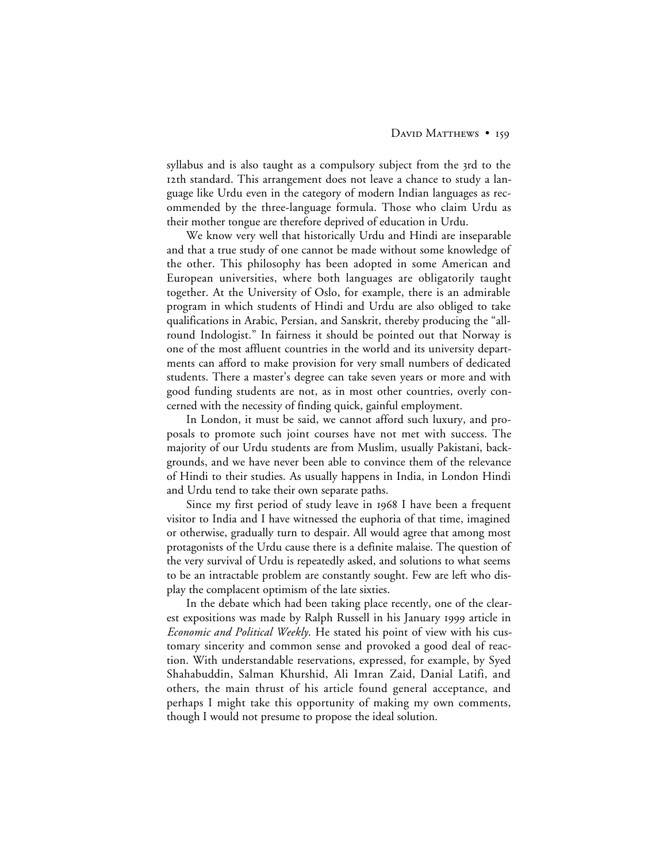### DAVID MATTHEWS • 159

syllabus and is also taught as a compulsory subject from the 3rd to the 12th standard. This arrangement does not leave a chance to study a language like Urdu even in the category of modern Indian languages as recommended by the three-language formula. Those who claim Urdu as their mother tongue are therefore deprived of education in Urdu.

We know very well that historically Urdu and Hindi are inseparable and that a true study of one cannot be made without some knowledge of the other. This philosophy has been adopted in some American and European universities, where both languages are obligatorily taught together. At the University of Oslo, for example, there is an admirable program in which students of Hindi and Urdu are also obliged to take qualifications in Arabic, Persian, and Sanskrit, thereby producing the "allround Indologist." In fairness it should be pointed out that Norway is one of the most affluent countries in the world and its university departments can afford to make provision for very small numbers of dedicated students. There a master's degree can take seven years or more and with good funding students are not, as in most other countries, overly concerned with the necessity of finding quick, gainful employment.

In London, it must be said, we cannot afford such luxury, and proposals to promote such joint courses have not met with success. The majority of our Urdu students are from Muslim, usually Pakistani, backgrounds, and we have never been able to convince them of the relevance of Hindi to their studies. As usually happens in India, in London Hindi and Urdu tend to take their own separate paths.

Since my first period of study leave in 1968 I have been a frequent visitor to India and I have witnessed the euphoria of that time, imagined or otherwise, gradually turn to despair. All would agree that among most protagonists of the Urdu cause there is a definite malaise. The question of the very survival of Urdu is repeatedly asked, and solutions to what seems to be an intractable problem are constantly sought. Few are left who display the complacent optimism of the late sixties.

In the debate which had been taking place recently, one of the clearest expositions was made by Ralph Russell in his January 1999 article in *Economic and Political Weekly*. He stated his point of view with his customary sincerity and common sense and provoked a good deal of reaction. With understandable reservations, expressed, for example, by Syed Shahabuddin, Salman Khurshid, Ali Imran Zaid, Danial Latifi, and others, the main thrust of his article found general acceptance, and perhaps I might take this opportunity of making my own comments, though I would not presume to propose the ideal solution.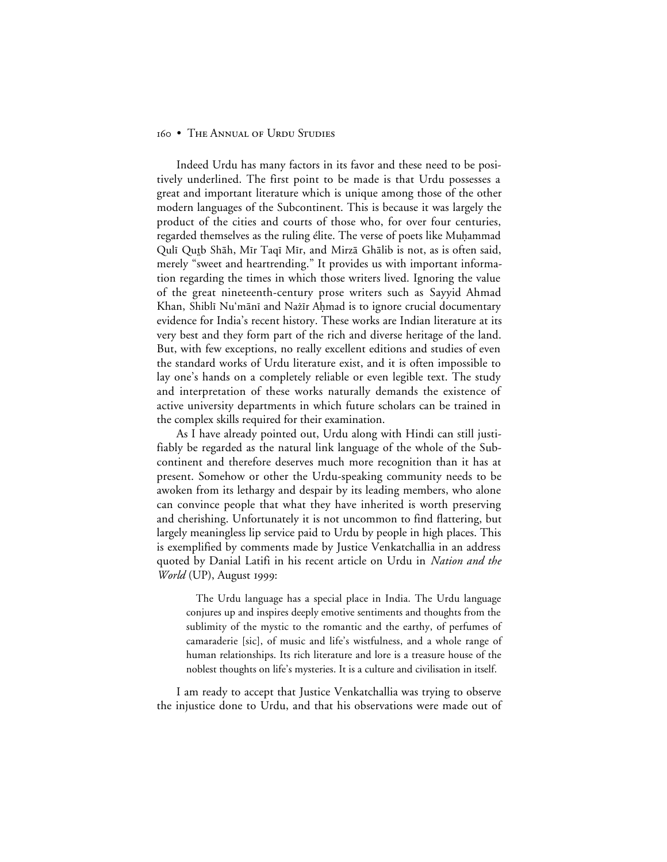Indeed Urdu has many factors in its favor and these need to be positively underlined. The first point to be made is that Urdu possesses a great and important literature which is unique among those of the other modern languages of the Subcontinent. This is because it was largely the product of the cities and courts of those who, for over four centuries, regarded themselves as the ruling élite. The verse of poets like Muḥammad Qulī Qutb Shāh, Mīr Taqī Mīr, and Mirzā Ghālib is not, as is often said, merely "sweet and heartrending." It provides us with important information regarding the times in which those writers lived. Ignoring the value of the great nineteenth-century prose writers such as Sayyid Ahmad Khan, Shiblī Nu'mānī and Nažīr Ahmad is to ignore crucial documentary evidence for India's recent history. These works are Indian literature at its very best and they form part of the rich and diverse heritage of the land. But, with few exceptions, no really excellent editions and studies of even the standard works of Urdu literature exist, and it is often impossible to lay one's hands on a completely reliable or even legible text. The study and interpretation of these works naturally demands the existence of active university departments in which future scholars can be trained in the complex skills required for their examination.

As I have already pointed out, Urdu along with Hindi can still justifiably be regarded as the natural link language of the whole of the Subcontinent and therefore deserves much more recognition than it has at present. Somehow or other the Urdu-speaking community needs to be awoken from its lethargy and despair by its leading members, who alone can convince people that what they have inherited is worth preserving and cherishing. Unfortunately it is not uncommon to find flattering, but largely meaningless lip service paid to Urdu by people in high places. This is exemplified by comments made by Justice Venkatchallia in an address quoted by Danial Latifi in his recent article on Urdu in *Nation and the World* (UP), August 1999:

The Urdu language has a special place in India. The Urdu language conjures up and inspires deeply emotive sentiments and thoughts from the sublimity of the mystic to the romantic and the earthy, of perfumes of camaraderie [sic], of music and life's wistfulness, and a whole range of human relationships. Its rich literature and lore is a treasure house of the noblest thoughts on life's mysteries. It is a culture and civilisation in itself.

I am ready to accept that Justice Venkatchallia was trying to observe the injustice done to Urdu, and that his observations were made out of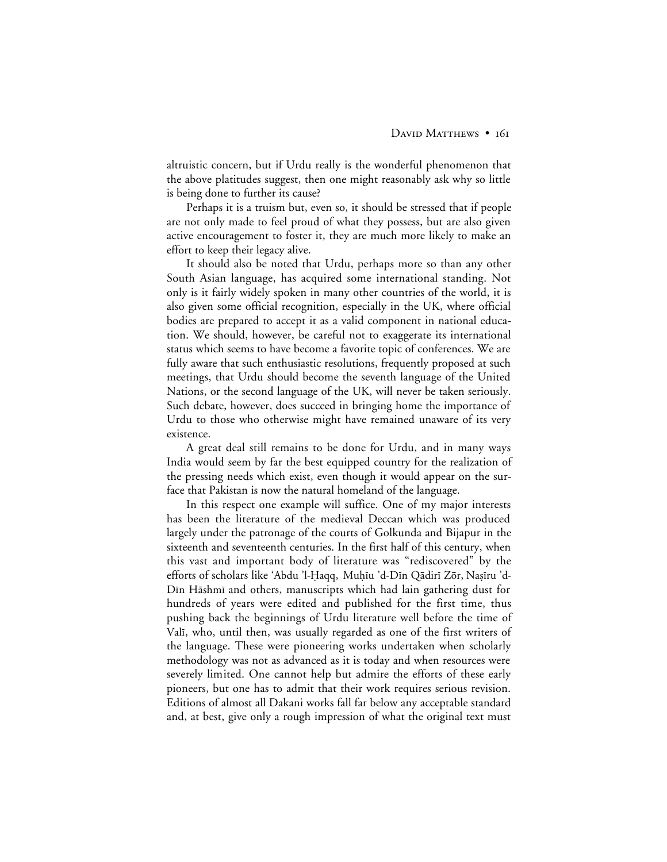altruistic concern, but if Urdu really is the wonderful phenomenon that the above platitudes suggest, then one might reasonably ask why so little is being done to further its cause?

Perhaps it is a truism but, even so, it should be stressed that if people are not only made to feel proud of what they possess, but are also given active encouragement to foster it, they are much more likely to make an effort to keep their legacy alive.

It should also be noted that Urdu, perhaps more so than any other South Asian language, has acquired some international standing. Not only is it fairly widely spoken in many other countries of the world, it is also given some official recognition, especially in the UK, where official bodies are prepared to accept it as a valid component in national education. We should, however, be careful not to exaggerate its international status which seems to have become a favorite topic of conferences. We are fully aware that such enthusiastic resolutions, frequently proposed at such meetings, that Urdu should become the seventh language of the United Nations, or the second language of the UK, will never be taken seriously. Such debate, however, does succeed in bringing home the importance of Urdu to those who otherwise might have remained unaware of its very existence.

A great deal still remains to be done for Urdu, and in many ways India would seem by far the best equipped country for the realization of the pressing needs which exist, even though it would appear on the surface that Pakistan is now the natural homeland of the language.

In this respect one example will suffice. One of my major interests has been the literature of the medieval Deccan which was produced largely under the patronage of the courts of Golkunda and Bijapur in the sixteenth and seventeenth centuries. In the first half of this century, when this vast and important body of literature was "rediscovered" by the efforts of scholars like 'Abdu 'l-Haqq, Muḥīu 'd-Dīn Qādirī Zōr, Naṣīru 'd-Din Hāshmī and others, manuscripts which had lain gathering dust for hundreds of years were edited and published for the first time, thus pushing back the beginnings of Urdu literature well before the time of Vali, who, until then, was usually regarded as one of the first writers of the language. These were pioneering works undertaken when scholarly methodology was not as advanced as it is today and when resources were severely limited. One cannot help but admire the efforts of these early pioneers, but one has to admit that their work requires serious revision. Editions of almost all Dakani works fall far below any acceptable standard and, at best, give only a rough impression of what the original text must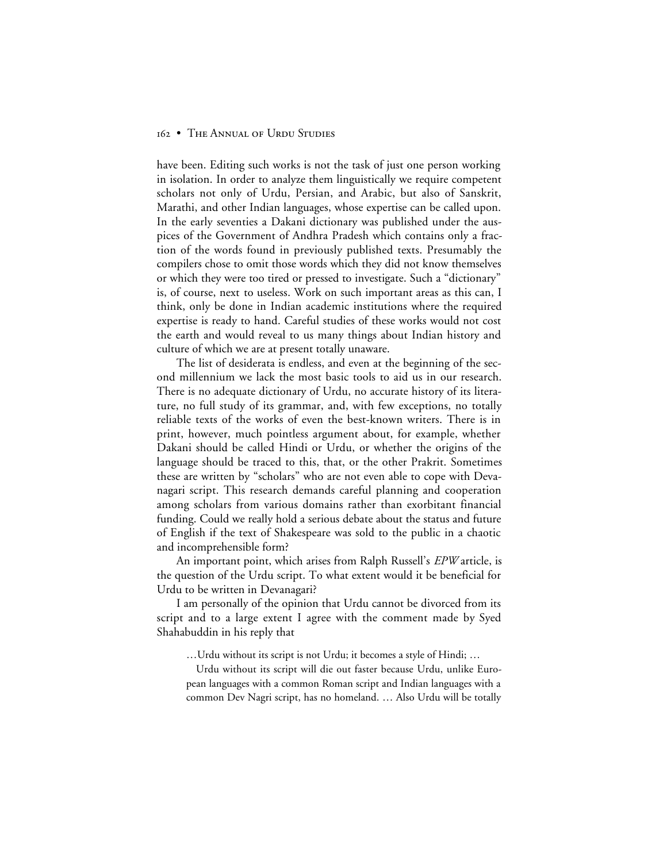have been. Editing such works is not the task of just one person working in isolation. In order to analyze them linguistically we require competent scholars not only of Urdu, Persian, and Arabic, but also of Sanskrit, Marathi, and other Indian languages, whose expertise can be called upon. In the early seventies a Dakani dictionary was published under the auspices of the Government of Andhra Pradesh which contains only a fraction of the words found in previously published texts. Presumably the compilers chose to omit those words which they did not know themselves or which they were too tired or pressed to investigate. Such a "dictionary" is, of course, next to useless. Work on such important areas as this can, I think, only be done in Indian academic institutions where the required expertise is ready to hand. Careful studies of these works would not cost the earth and would reveal to us many things about Indian history and culture of which we are at present totally unaware.

The list of desiderata is endless, and even at the beginning of the second millennium we lack the most basic tools to aid us in our research. There is no adequate dictionary of Urdu, no accurate history of its literature, no full study of its grammar, and, with few exceptions, no totally reliable texts of the works of even the best-known writers. There is in print, however, much pointless argument about, for example, whether Dakani should be called Hindi or Urdu, or whether the origins of the language should be traced to this, that, or the other Prakrit. Sometimes these are written by "scholars" who are not even able to cope with Devanagari script. This research demands careful planning and cooperation among scholars from various domains rather than exorbitant financial funding. Could we really hold a serious debate about the status and future of English if the text of Shakespeare was sold to the public in a chaotic and incomprehensible form?

An important point, which arises from Ralph Russell's *EPW* article, is the question of the Urdu script. To what extent would it be beneficial for Urdu to be written in Devanagari?

I am personally of the opinion that Urdu cannot be divorced from its script and to a large extent I agree with the comment made by Syed Shahabuddin in his reply that

…Urdu without its script is not Urdu; it becomes a style of Hindi; …

Urdu without its script will die out faster because Urdu, unlike European languages with a common Roman script and Indian languages with a common Dev Nagri script, has no homeland. … Also Urdu will be totally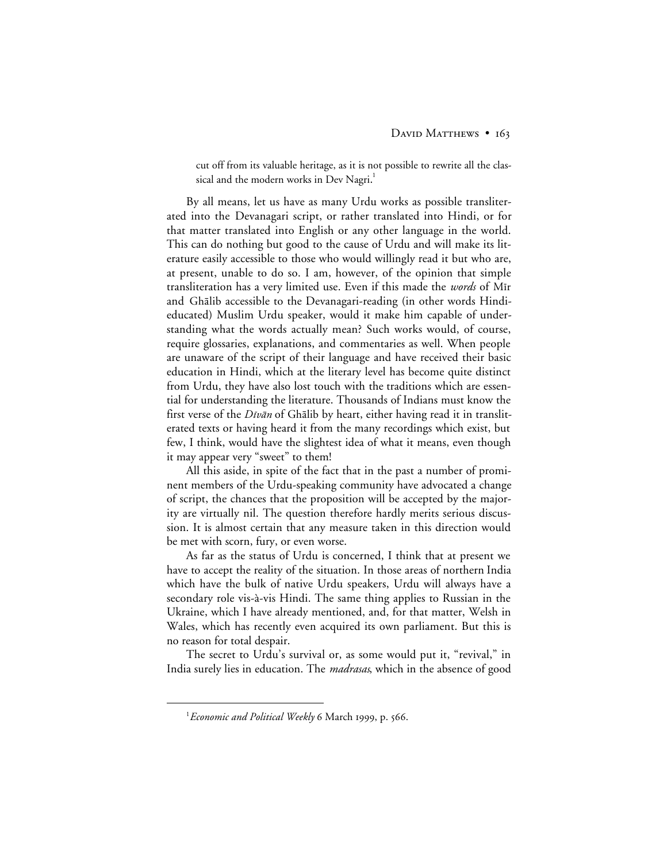cut off from its valuable heritage, as it is not possible to rewrite all the classical and the modern works in Dev Nagri. $^{\rm l}$ 

By all means, let us have as many Urdu works as possible transliterated into the Devanagari script, or rather translated into Hindi, or for that matter translated into English or any other language in the world. This can do nothing but good to the cause of Urdu and will make its literature easily accessible to those who would willingly read it but who are, at present, unable to do so. I am, however, of the opinion that simple transliteration has a very limited use. Even if this made the *words* of Mīr and Ghālib accessible to the Devanagari-reading (in other words Hindieducated) Muslim Urdu speaker, would it make him capable of understanding what the words actually mean? Such works would, of course, require glossaries, explanations, and commentaries as well. When people are unaware of the script of their language and have received their basic education in Hindi, which at the literary level has become quite distinct from Urdu, they have also lost touch with the traditions which are essential for understanding the literature. Thousands of Indians must know the first verse of the *Dīvān* of Ghālib by heart, either having read it in transliterated texts or having heard it from the many recordings which exist, but few, I think, would have the slightest idea of what it means, even though it may appear very "sweet" to them!

All this aside, in spite of the fact that in the past a number of prominent members of the Urdu-speaking community have advocated a change of script, the chances that the proposition will be accepted by the majority are virtually nil. The question therefore hardly merits serious discussion. It is almost certain that any measure taken in this direction would be met with scorn, fury, or even worse.

As far as the status of Urdu is concerned, I think that at present we have to accept the reality of the situation. In those areas of northern India which have the bulk of native Urdu speakers, Urdu will always have a secondary role vis-à-vis Hindi. The same thing applies to Russian in the Ukraine, which I have already mentioned, and, for that matter, Welsh in Wales, which has recently even acquired its own parliament. But this is no reason for total despair.

The secret to Urdu's survival or, as some would put it, "revival," in India surely lies in education. The *madrasas*, which in the absence of good

 $\overline{\phantom{a}}$ <sup>1</sup> Economic and Political Weekly 6 March 1999, p. 566.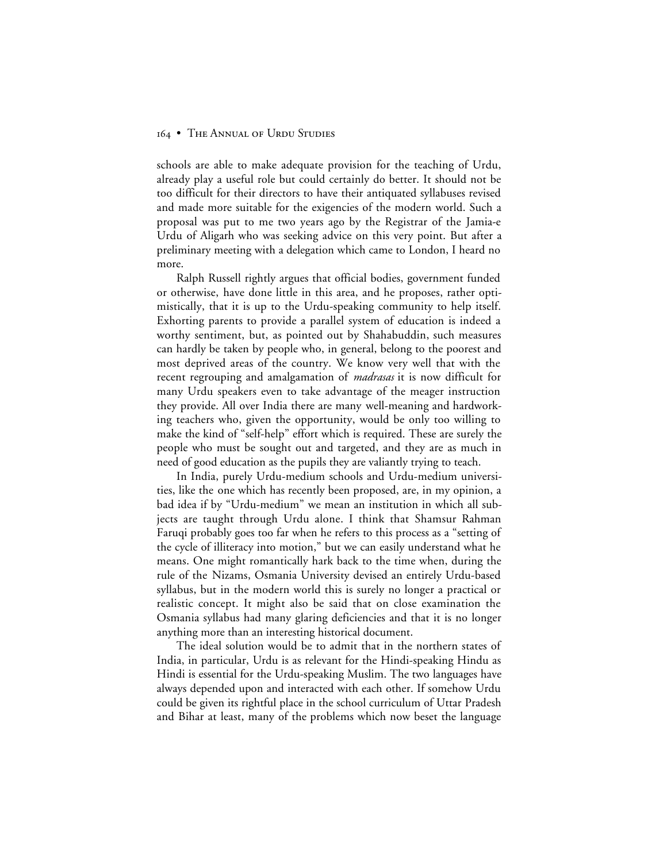schools are able to make adequate provision for the teaching of Urdu, already play a useful role but could certainly do better. It should not be too difficult for their directors to have their antiquated syllabuses revised and made more suitable for the exigencies of the modern world. Such a proposal was put to me two years ago by the Registrar of the Jamia-e Urdu of Aligarh who was seeking advice on this very point. But after a preliminary meeting with a delegation which came to London, I heard no more.

Ralph Russell rightly argues that official bodies, government funded or otherwise, have done little in this area, and he proposes, rather optimistically, that it is up to the Urdu-speaking community to help itself. Exhorting parents to provide a parallel system of education is indeed a worthy sentiment, but, as pointed out by Shahabuddin, such measures can hardly be taken by people who, in general, belong to the poorest and most deprived areas of the country. We know very well that with the recent regrouping and amalgamation of *madrasas* it is now difficult for many Urdu speakers even to take advantage of the meager instruction they provide. All over India there are many well-meaning and hardworking teachers who, given the opportunity, would be only too willing to make the kind of "self-help" effort which is required. These are surely the people who must be sought out and targeted, and they are as much in need of good education as the pupils they are valiantly trying to teach.

In India, purely Urdu-medium schools and Urdu-medium universities, like the one which has recently been proposed, are, in my opinion, a bad idea if by "Urdu-medium" we mean an institution in which all subjects are taught through Urdu alone. I think that Shamsur Rahman Faruqi probably goes too far when he refers to this process as a "setting of the cycle of illiteracy into motion," but we can easily understand what he means. One might romantically hark back to the time when, during the rule of the Nizams, Osmania University devised an entirely Urdu-based syllabus, but in the modern world this is surely no longer a practical or realistic concept. It might also be said that on close examination the Osmania syllabus had many glaring deficiencies and that it is no longer anything more than an interesting historical document.

The ideal solution would be to admit that in the northern states of India, in particular, Urdu is as relevant for the Hindi-speaking Hindu as Hindi is essential for the Urdu-speaking Muslim. The two languages have always depended upon and interacted with each other. If somehow Urdu could be given its rightful place in the school curriculum of Uttar Pradesh and Bihar at least, many of the problems which now beset the language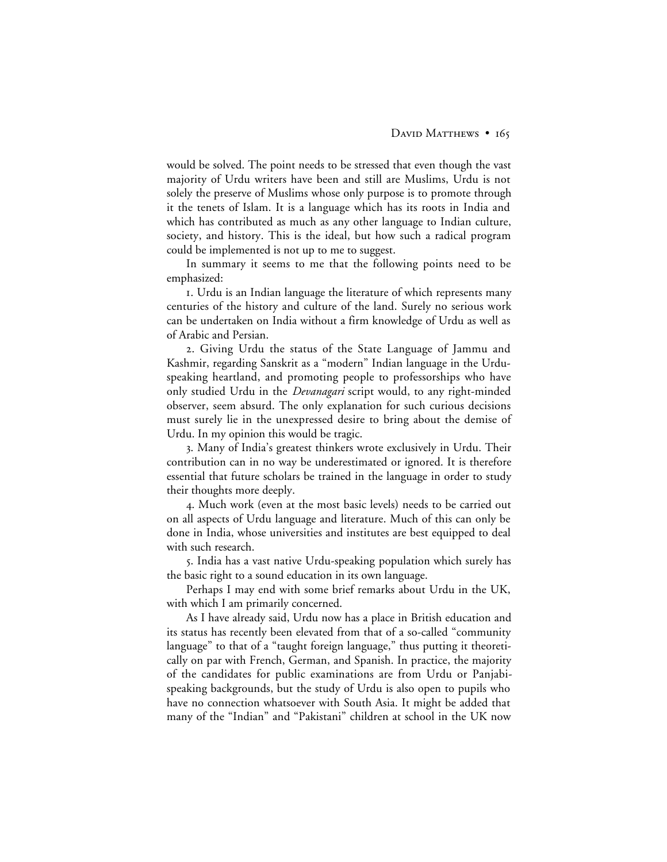would be solved. The point needs to be stressed that even though the vast majority of Urdu writers have been and still are Muslims, Urdu is not solely the preserve of Muslims whose only purpose is to promote through it the tenets of Islam. It is a language which has its roots in India and which has contributed as much as any other language to Indian culture, society, and history. This is the ideal, but how such a radical program could be implemented is not up to me to suggest.

In summary it seems to me that the following points need to be emphasized:

. Urdu is an Indian language the literature of which represents many centuries of the history and culture of the land. Surely no serious work can be undertaken on India without a firm knowledge of Urdu as well as of Arabic and Persian.

. Giving Urdu the status of the State Language of Jammu and Kashmir, regarding Sanskrit as a "modern" Indian language in the Urduspeaking heartland, and promoting people to professorships who have only studied Urdu in the *Devanagari* script would, to any right-minded observer, seem absurd. The only explanation for such curious decisions must surely lie in the unexpressed desire to bring about the demise of Urdu. In my opinion this would be tragic.

. Many of India's greatest thinkers wrote exclusively in Urdu. Their contribution can in no way be underestimated or ignored. It is therefore essential that future scholars be trained in the language in order to study their thoughts more deeply.

. Much work (even at the most basic levels) needs to be carried out on all aspects of Urdu language and literature. Much of this can only be done in India, whose universities and institutes are best equipped to deal with such research.

. India has a vast native Urdu-speaking population which surely has the basic right to a sound education in its own language.

Perhaps I may end with some brief remarks about Urdu in the UK, with which I am primarily concerned.

As I have already said, Urdu now has a place in British education and its status has recently been elevated from that of a so-called "community language" to that of a "taught foreign language," thus putting it theoretically on par with French, German, and Spanish. In practice, the majority of the candidates for public examinations are from Urdu or Panjabispeaking backgrounds, but the study of Urdu is also open to pupils who have no connection whatsoever with South Asia. It might be added that many of the "Indian" and "Pakistani" children at school in the UK now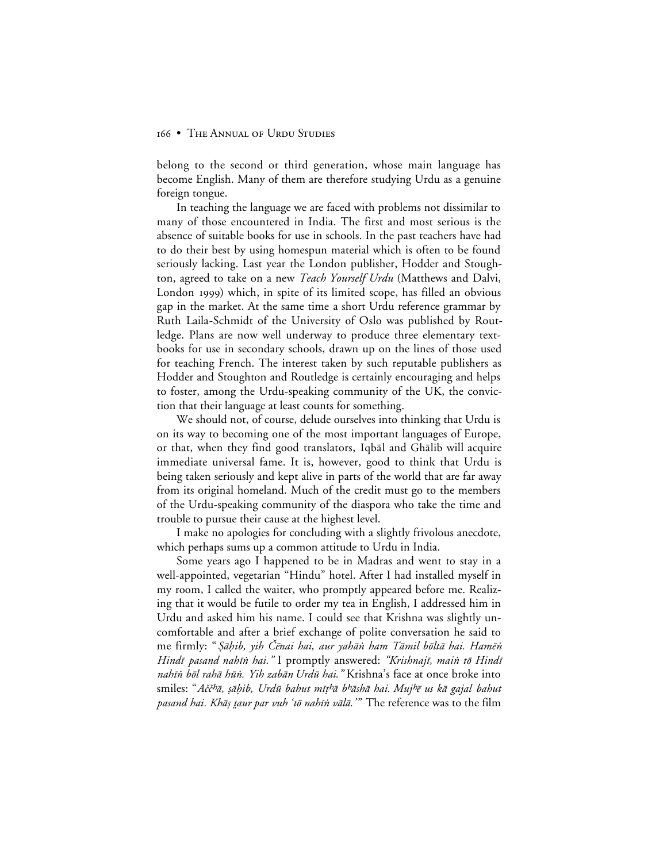belong to the second or third generation, whose main language has become English. Many of them are therefore studying Urdu as a genuine foreign tongue.

In teaching the language we are faced with problems not dissimilar to many of those encountered in India. The first and most serious is the absence of suitable books for use in schools. In the past teachers have had to do their best by using homespun material which is often to be found seriously lacking. Last year the London publisher, Hodder and Stoughton, agreed to take on a new *Teach Yourself Urdu* (Matthews and Dalvi, London 1999) which, in spite of its limited scope, has filled an obvious gap in the market. At the same time a short Urdu reference grammar by Ruth Laila-Schmidt of the University of Oslo was published by Routledge. Plans are now well underway to produce three elementary textbooks for use in secondary schools, drawn up on the lines of those used for teaching French. The interest taken by such reputable publishers as Hodder and Stoughton and Routledge is certainly encouraging and helps to foster, among the Urdu-speaking community of the UK, the conviction that their language at least counts for something.

We should not, of course, delude ourselves into thinking that Urdu is on its way to becoming one of the most important languages of Europe, or that, when they find good translators, Iqbal and Ghalib will acquire immediate universal fame. It is, however, good to think that Urdu is being taken seriously and kept alive in parts of the world that are far away from its original homeland. Much of the credit must go to the members of the Urdu-speaking community of the diaspora who take the time and trouble to pursue their cause at the highest level.

I make no apologies for concluding with a slightly frivolous anecdote, which perhaps sums up a common attitude to Urdu in India.

Some years ago I happened to be in Madras and went to stay in a well-appointed, vegetarian "Hindu" hotel. After I had installed myself in my room, I called the waiter, who promptly appeared before me. Realizing that it would be futile to order my tea in English, I addressed him in Urdu and asked him his name. I could see that Krishna was slightly uncomfortable and after a brief exchange of polite conversation he said to me firmly: "*Şāḥib, yih Čēnai hai, aur yahān ham Tāmil bōltā hai. Hamēn* Hindī pasand nahīn hai." I promptly answered: "Krishnajī, main tō Hindī nahīn bōl rahā hūn. Yih zabān Urdū hai." Krishna's face at once broke into smiles: "Ačč<sup>h</sup>ā, sāhib, Urdū bahut mīthā b<sup>h</sup>āshā hai. Mujhē us kā gajal bahut pasand hai. Khāṣ taur par vuh 'tō nahīn vālā.'" The reference was to the film